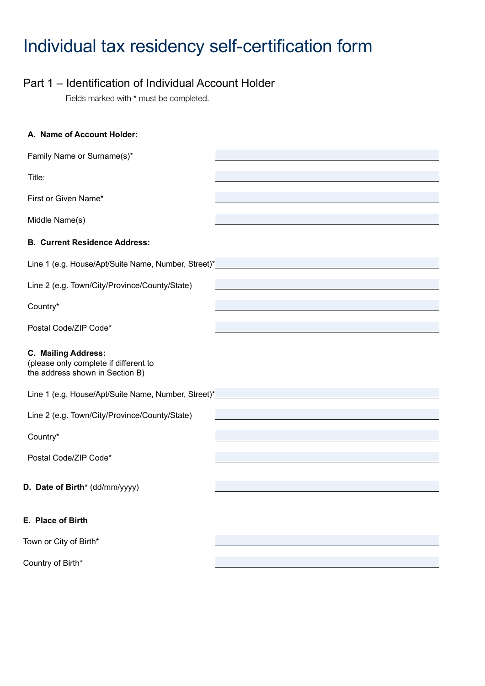## Part 1 – Identification of Individual Account Holder

Fields marked with \* must be completed.

# **A. Name of Account Holder:** Family Name or Surname(s)\* Title: First or Given Name\* Middle Name(s) **B. Current Residence Address:** Line 1 (e.g. House/Apt/Suite Name, Number, Street)\* Line 2 (e.g. Town/City/Province/County/State) Country\* Postal Code/ZIP Code\* **C. Mailing Address:** (please only complete if different to the address shown in Section B) Line 1 (e.g. House/Apt/Suite Name, Number, Street)\* Line 2 (e.g. Town/City/Province/County/State) Country\* Postal Code/ZIP Code\* **D. Date of Birth\*** (dd/mm/yyyy)

### **E. Place of Birth**

Town or City of Birth\*

Country of Birth\*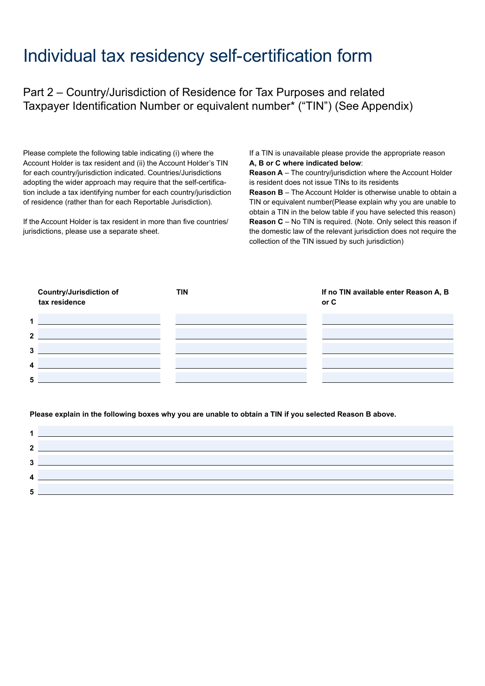Part 2 – Country/Jurisdiction of Residence for Tax Purposes and related Taxpayer Identification Number or equivalent number\* ("TIN") (See Appendix)

Please complete the following table indicating (i) where the Account Holder is tax resident and (ii) the Account Holder's TIN for each country/jurisdiction indicated. Countries/Jurisdictions adopting the wider approach may require that the self-certification include a tax identifying number for each country/jurisdiction of residence (rather than for each Reportable Jurisdiction).

If the Account Holder is tax resident in more than five countries/ jurisdictions, please use a separate sheet.

If a TIN is unavailable please provide the appropriate reason **A, B or C where indicated below**:

**Reason A** – The country/jurisdiction where the Account Holder is resident does not issue TINs to its residents

**Reason B** – The Account Holder is otherwise unable to obtain a TIN or equivalent number(Please explain why you are unable to obtain a TIN in the below table if you have selected this reason) **Reason C** – No TIN is required. (Note. Only select this reason if the domestic law of the relevant jurisdiction does not require the collection of the TIN issued by such jurisdiction)



#### **Please explain in the following boxes why you are unable to obtain a TIN if you selected Reason B above.**

| າ<br>▴  |  |
|---------|--|
| ゥ<br>۰J |  |
| 4       |  |
| 5       |  |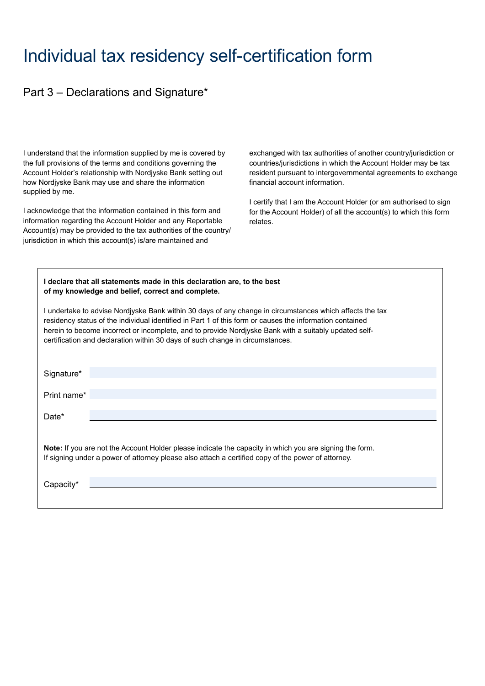## Part 3 – Declarations and Signature\*

I understand that the information supplied by me is covered by the full provisions of the terms and conditions governing the Account Holder's relationship with Nordjyske Bank setting out how Nordjyske Bank may use and share the information supplied by me.

I acknowledge that the information contained in this form and information regarding the Account Holder and any Reportable Account(s) may be provided to the tax authorities of the country/ jurisdiction in which this account(s) is/are maintained and

exchanged with tax authorities of another country/jurisdiction or countries/jurisdictions in which the Account Holder may be tax resident pursuant to intergovernmental agreements to exchange financial account information.

I certify that I am the Account Holder (or am authorised to sign for the Account Holder) of all the account(s) to which this form relates.

| I declare that all statements made in this declaration are, to the best<br>of my knowledge and belief, correct and complete.                                                                                                                                                                                                                                                                                   |
|----------------------------------------------------------------------------------------------------------------------------------------------------------------------------------------------------------------------------------------------------------------------------------------------------------------------------------------------------------------------------------------------------------------|
| I undertake to advise Nordjyske Bank within 30 days of any change in circumstances which affects the tax<br>residency status of the individual identified in Part 1 of this form or causes the information contained<br>herein to become incorrect or incomplete, and to provide Nordjyske Bank with a suitably updated self-<br>certification and declaration within 30 days of such change in circumstances. |
| Signature*                                                                                                                                                                                                                                                                                                                                                                                                     |
| Print name*                                                                                                                                                                                                                                                                                                                                                                                                    |
| Date*                                                                                                                                                                                                                                                                                                                                                                                                          |
| <b>Note:</b> If you are not the Account Holder please indicate the capacity in which you are signing the form.<br>If signing under a power of attorney please also attach a certified copy of the power of attorney.                                                                                                                                                                                           |
| Capacity*                                                                                                                                                                                                                                                                                                                                                                                                      |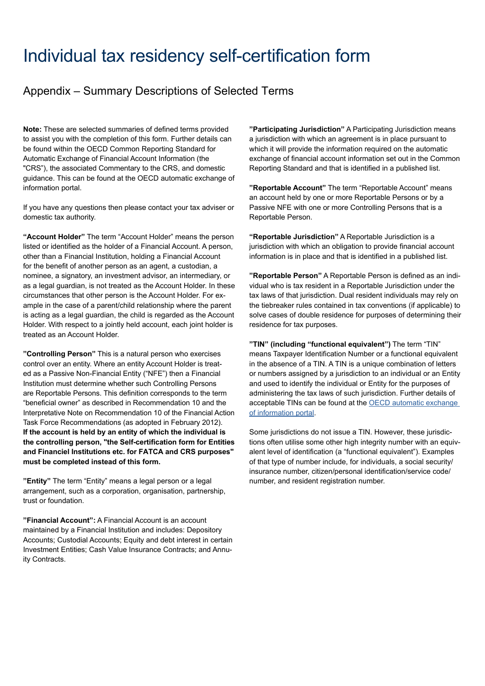## Appendix – Summary Descriptions of Selected Terms

**Note:** These are selected summaries of defined terms provided to assist you with the completion of this form. Further details can be found within the OECD Common Reporting Standard for Automatic Exchange of Financial Account Information (the "CRS"), the associated Commentary to the CRS, and domestic guidance. This can be found at the OECD automatic exchange of information portal.

If you have any questions then please contact your tax adviser or domestic tax authority.

**"Account Holder"** The term "Account Holder" means the person listed or identified as the holder of a Financial Account. A person, other than a Financial Institution, holding a Financial Account for the benefit of another person as an agent, a custodian, a nominee, a signatory, an investment advisor, an intermediary, or as a legal guardian, is not treated as the Account Holder. In these circumstances that other person is the Account Holder. For example in the case of a parent/child relationship where the parent is acting as a legal guardian, the child is regarded as the Account Holder. With respect to a jointly held account, each joint holder is treated as an Account Holder.

**"Controlling Person"** This is a natural person who exercises control over an entity. Where an entity Account Holder is treated as a Passive Non-Financial Entity ("NFE") then a Financial Institution must determine whether such Controlling Persons are Reportable Persons. This definition corresponds to the term "beneficial owner" as described in Recommendation 10 and the Interpretative Note on Recommendation 10 of the Financial Action Task Force Recommendations (as adopted in February 2012). **If the account is held by an entity of which the individual is the controlling person, "the Self-certification form for Entities and Financiel Institutions etc. for FATCA and CRS purposes" must be completed instead of this form.**

**"Entity"** The term "Entity" means a legal person or a legal arrangement, such as a corporation, organisation, partnership, trust or foundation.

**"Financial Account":** A Financial Account is an account maintained by a Financial Institution and includes: Depository Accounts; Custodial Accounts; Equity and debt interest in certain Investment Entities; Cash Value Insurance Contracts; and Annuity Contracts.

**"Participating Jurisdiction"** A Participating Jurisdiction means a jurisdiction with which an agreement is in place pursuant to which it will provide the information required on the automatic exchange of financial account information set out in the Common Reporting Standard and that is identified in a published list.

**"Reportable Account"** The term "Reportable Account" means an account held by one or more Reportable Persons or by a Passive NFE with one or more Controlling Persons that is a Reportable Person.

**"Reportable Jurisdiction"** A Reportable Jurisdiction is a jurisdiction with which an obligation to provide financial account information is in place and that is identified in a published list.

**"Reportable Person"** A Reportable Person is defined as an individual who is tax resident in a Reportable Jurisdiction under the tax laws of that jurisdiction. Dual resident individuals may rely on the tiebreaker rules contained in tax conventions (if applicable) to solve cases of double residence for purposes of determining their residence for tax purposes.

**"TIN" (including "functional equivalent")** The term "TIN" means Taxpayer Identification Number or a functional equivalent in the absence of a TIN. A TIN is a unique combination of letters or numbers assigned by a jurisdiction to an individual or an Entity and used to identify the individual or Entity for the purposes of administering the tax laws of such jurisdiction. Further details of acceptable TINs can be found at the [OECD automatic exchange](https://www.oecd.org/tax/automatic-exchange/.)  [of information portal.](https://www.oecd.org/tax/automatic-exchange/.)

Some jurisdictions do not issue a TIN. However, these jurisdictions often utilise some other high integrity number with an equivalent level of identification (a "functional equivalent"). Examples of that type of number include, for individuals, a social security/ insurance number, citizen/personal identification/service code/ number, and resident registration number.